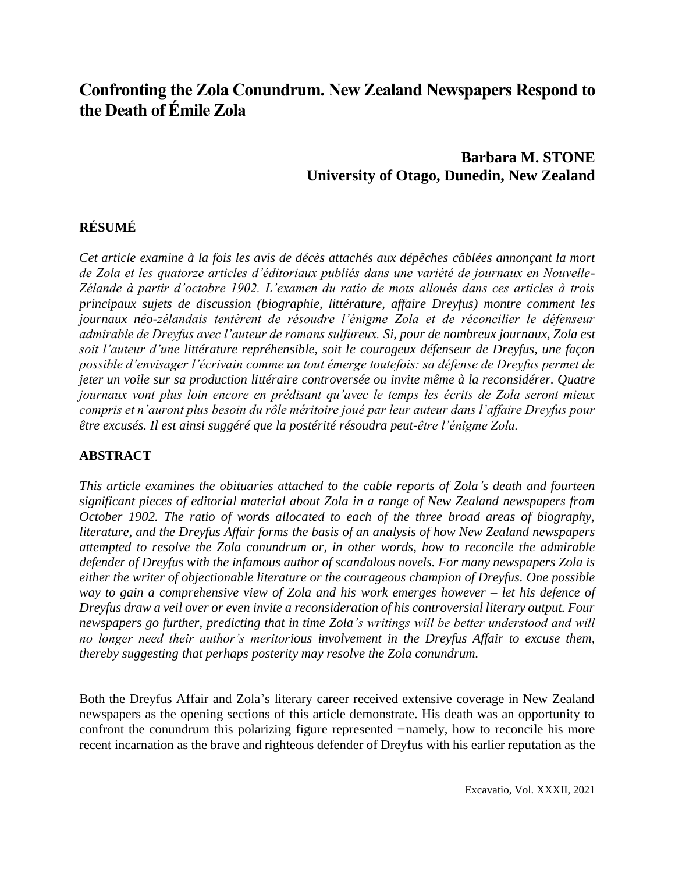# **Confronting the Zola Conundrum. New Zealand Newspapers Respond to the Death of Émile Zola**

## **Barbara M. STONE University of Otago, Dunedin, New Zealand**

## **RÉSUMÉ**

*Cet article examine à la fois les avis de décès attachés aux dépêches câblées annonçant la mort de Zola et les quatorze articles d'éditoriaux publiés dans une variété de journaux en Nouvelle-Zélande à partir d'octobre 1902. L'examen du ratio de mots alloués dans ces articles à trois principaux sujets de discussion (biographie, littérature, affaire Dreyfus) montre comment les journaux néo-zélandais tentèrent de résoudre l'énigme Zola et de réconcilier le défenseur admirable de Dreyfus avec l'auteur de romans sulfureux. Si, pour de nombreux journaux, Zola est soit l'auteur d'une littérature repréhensible, soit le courageux défenseur de Dreyfus, une façon possible d'envisager l'écrivain comme un tout émerge toutefois: sa défense de Dreyfus permet de jeter un voile sur sa production littéraire controversée ou invite même à la reconsidérer. Quatre journaux vont plus loin encore en prédisant qu'avec le temps les écrits de Zola seront mieux compris et n'auront plus besoin du rôle méritoire joué par leur auteur dans l'affaire Dreyfus pour être excusés. Il est ainsi suggéré que la postérité résoudra peut-être l'énigme Zola.* 

### **ABSTRACT**

*This article examines the obituaries attached to the cable reports of Zola's death and fourteen significant pieces of editorial material about Zola in a range of New Zealand newspapers from October 1902. The ratio of words allocated to each of the three broad areas of biography, literature, and the Dreyfus Affair forms the basis of an analysis of how New Zealand newspapers attempted to resolve the Zola conundrum or, in other words, how to reconcile the admirable defender of Dreyfus with the infamous author of scandalous novels. For many newspapers Zola is either the writer of objectionable literature or the courageous champion of Dreyfus. One possible way to gain a comprehensive view of Zola and his work emerges however – let his defence of Dreyfus draw a veil over or even invite a reconsideration of his controversial literary output. Four newspapers go further, predicting that in time Zola's writings will be better understood and will no longer need their author's meritorious involvement in the Dreyfus Affair to excuse them, thereby suggesting that perhaps posterity may resolve the Zola conundrum.*

Both the Dreyfus Affair and Zola's literary career received extensive coverage in New Zealand newspapers as the opening sections of this article demonstrate. His death was an opportunity to confront the conundrum this polarizing figure represented –namely, how to reconcile his more recent incarnation as the brave and righteous defender of Dreyfus with his earlier reputation as the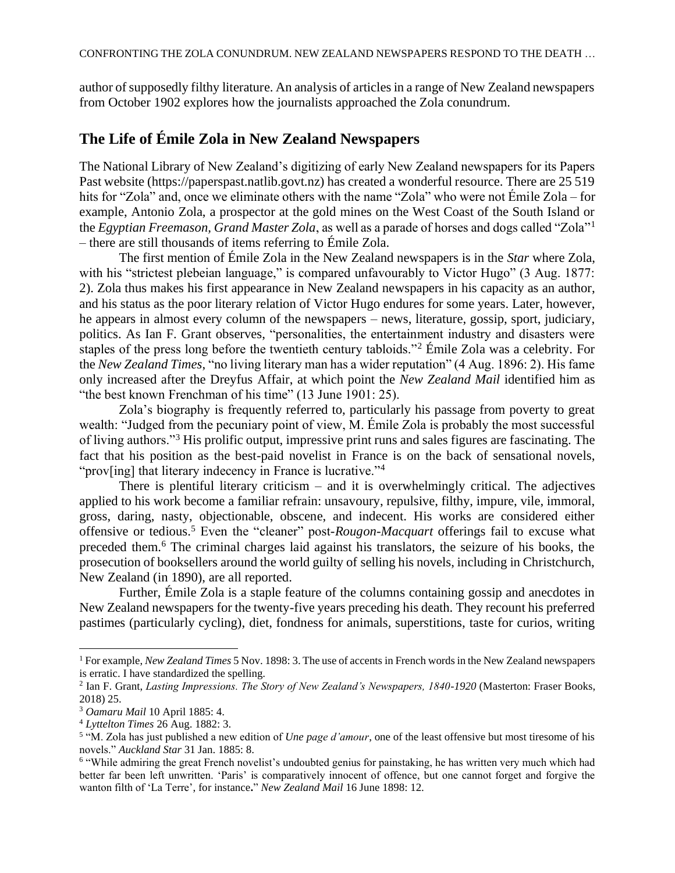author of supposedly filthy literature. An analysis of articles in a range of New Zealand newspapers from October 1902 explores how the journalists approached the Zola conundrum.

### **The Life of Émile Zola in New Zealand Newspapers**

The National Library of New Zealand's digitizing of early New Zealand newspapers for its Papers Past website (https://paperspast.natlib.govt.nz) has created a wonderful resource. There are 25 519 hits for "Zola" and, once we eliminate others with the name "Zola" who were not Émile Zola – for example, Antonio Zola, a prospector at the gold mines on the West Coast of the South Island or the *Egyptian Freemason, Grand Master Zola*, as well as a parade of horses and dogs called "Zola"<sup>1</sup> – there are still thousands of items referring to Émile Zola.

The first mention of Émile Zola in the New Zealand newspapers is in the *Star* where Zola, with his "strictest plebeian language," is compared unfavourably to Victor Hugo" (3 Aug. 1877: 2). Zola thus makes his first appearance in New Zealand newspapers in his capacity as an author, and his status as the poor literary relation of Victor Hugo endures for some years. Later, however, he appears in almost every column of the newspapers – news, literature, gossip, sport, judiciary, politics. As Ian F. Grant observes, "personalities, the entertainment industry and disasters were staples of the press long before the twentieth century tabloids."<sup>2</sup> Émile Zola was a celebrity. For the *New Zealand Times*, "no living literary man has a wider reputation" (4 Aug. 1896: 2). His fame only increased after the Dreyfus Affair, at which point the *New Zealand Mail* identified him as "the best known Frenchman of his time" (13 June 1901: 25).

Zola's biography is frequently referred to, particularly his passage from poverty to great wealth: "Judged from the pecuniary point of view, M. Émile Zola is probably the most successful of living authors."<sup>3</sup> His prolific output, impressive print runs and sales figures are fascinating. The fact that his position as the best-paid novelist in France is on the back of sensational novels, "prov[ing] that literary indecency in France is lucrative."<sup>4</sup>

There is plentiful literary criticism – and it is overwhelmingly critical. The adjectives applied to his work become a familiar refrain: unsavoury, repulsive, filthy, impure, vile, immoral, gross, daring, nasty, objectionable, obscene, and indecent. His works are considered either offensive or tedious.<sup>5</sup> Even the "cleaner" post-*Rougon-Macquart* offerings fail to excuse what preceded them.<sup>6</sup> The criminal charges laid against his translators, the seizure of his books, the prosecution of booksellers around the world guilty of selling his novels, including in Christchurch, New Zealand (in 1890), are all reported.

Further, Émile Zola is a staple feature of the columns containing gossip and anecdotes in New Zealand newspapers for the twenty-five years preceding his death. They recount his preferred pastimes (particularly cycling), diet, fondness for animals, superstitions, taste for curios, writing

<sup>1</sup>For example, *New Zealand Times* 5 Nov. 1898: 3. The use of accents in French words in the New Zealand newspapers is erratic. I have standardized the spelling.

<sup>2</sup> Ian F. Grant, *Lasting Impressions. The Story of New Zealand's Newspapers, 1840-1920* (Masterton: Fraser Books, 2018) 25.

<sup>3</sup> *Oamaru Mail* 10 April 1885: 4.

<sup>4</sup> *Lyttelton Times* 26 Aug. 1882: 3.

<sup>5</sup> "M. Zola has just published a new edition of *Une page d'amour*, one of the least offensive but most tiresome of his novels." *Auckland Star* 31 Jan. 1885: 8.

<sup>&</sup>lt;sup>6</sup> "While admiring the great French novelist's undoubted genius for painstaking, he has written very much which had better far been left unwritten. 'Paris' is comparatively innocent of offence, but one cannot forget and forgive the wanton filth of 'La Terre', for instance**.**" *New Zealand Mail* 16 June 1898: 12.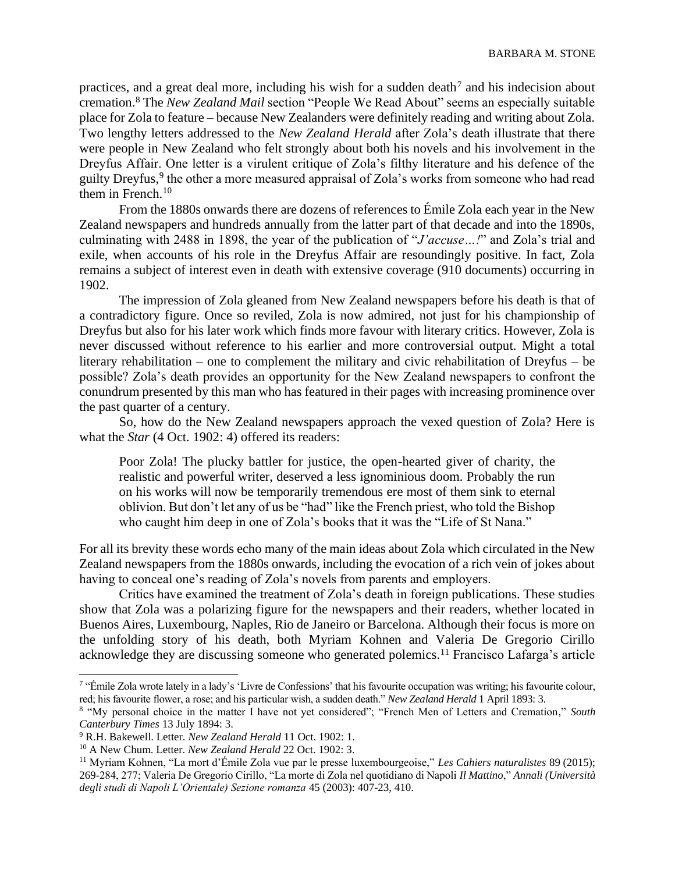practices, and a great deal more, including his wish for a sudden death<sup>7</sup> and his indecision about cremation.<sup>8</sup> The *New Zealand Mail* section "People We Read About" seems an especially suitable place for Zola to feature – because New Zealanders were definitely reading and writing about Zola. Two lengthy letters addressed to the *New Zealand Herald* after Zola's death illustrate that there were people in New Zealand who felt strongly about both his novels and his involvement in the Dreyfus Affair. One letter is a virulent critique of Zola's filthy literature and his defence of the guilty Dreyfus,<sup>9</sup> the other a more measured appraisal of Zola's works from someone who had read them in French.<sup>10</sup>

From the 1880s onwards there are dozens of references to Émile Zola each year in the New Zealand newspapers and hundreds annually from the latter part of that decade and into the 1890s, culminating with 2488 in 1898, the year of the publication of "*J'accuse…!*" and Zola's trial and exile, when accounts of his role in the Dreyfus Affair are resoundingly positive. In fact, Zola remains a subject of interest even in death with extensive coverage (910 documents) occurring in 1902.

The impression of Zola gleaned from New Zealand newspapers before his death is that of a contradictory figure. Once so reviled, Zola is now admired, not just for his championship of Dreyfus but also for his later work which finds more favour with literary critics. However, Zola is never discussed without reference to his earlier and more controversial output. Might a total literary rehabilitation – one to complement the military and civic rehabilitation of Dreyfus – be possible? Zola's death provides an opportunity for the New Zealand newspapers to confront the conundrum presented by this man who has featured in their pages with increasing prominence over the past quarter of a century.

So, how do the New Zealand newspapers approach the vexed question of Zola? Here is what the *Star* (4 Oct. 1902: 4) offered its readers:

Poor Zola! The plucky battler for justice, the open-hearted giver of charity, the realistic and powerful writer, deserved a less ignominious doom. Probably the run on his works will now be temporarily tremendous ere most of them sink to eternal oblivion. But don't let any of us be "had" like the French priest, who told the Bishop who caught him deep in one of Zola's books that it was the "Life of St Nana."

For all its brevity these words echo many of the main ideas about Zola which circulated in the New Zealand newspapers from the 1880s onwards, including the evocation of a rich vein of jokes about having to conceal one's reading of Zola's novels from parents and employers.

Critics have examined the treatment of Zola's death in foreign publications. These studies show that Zola was a polarizing figure for the newspapers and their readers, whether located in Buenos Aires, Luxembourg, Naples, Rio de Janeiro or Barcelona. Although their focus is more on the unfolding story of his death, both Myriam Kohnen and Valeria De Gregorio Cirillo acknowledge they are discussing someone who generated polemics.<sup>11</sup> Francisco Lafarga's article

<sup>&</sup>lt;sup>7</sup> "Émile Zola wrote lately in a lady's 'Livre de Confessions' that his favourite occupation was writing; his favourite colour, red; his favourite flower, a rose; and his particular wish, a sudden death." *New Zealand Herald* 1 April 1893: 3.

<sup>8</sup> "My personal choice in the matter I have not yet considered"; "French Men of Letters and Cremation," *South Canterbury Times* 13 July 1894: 3.

<sup>9</sup> R.H. Bakewell. Letter. *New Zealand Herald* 11 Oct. 1902: 1.

<sup>10</sup> A New Chum. Letter. *New Zealand Herald* 22 Oct. 1902: 3.

<sup>11</sup> Myriam Kohnen, "La mort d'Émile Zola vue par le presse luxembourgeoise," *Les Cahiers naturalistes* 89 (2015); 269-284, 277; Valeria De Gregorio Cirillo, "La morte di Zola nel quotidiano di Napoli *Il Mattino*," *Annali (Università degli studi di Napoli L'Orientale) Sezione romanza* 45 (2003): 407-23, 410.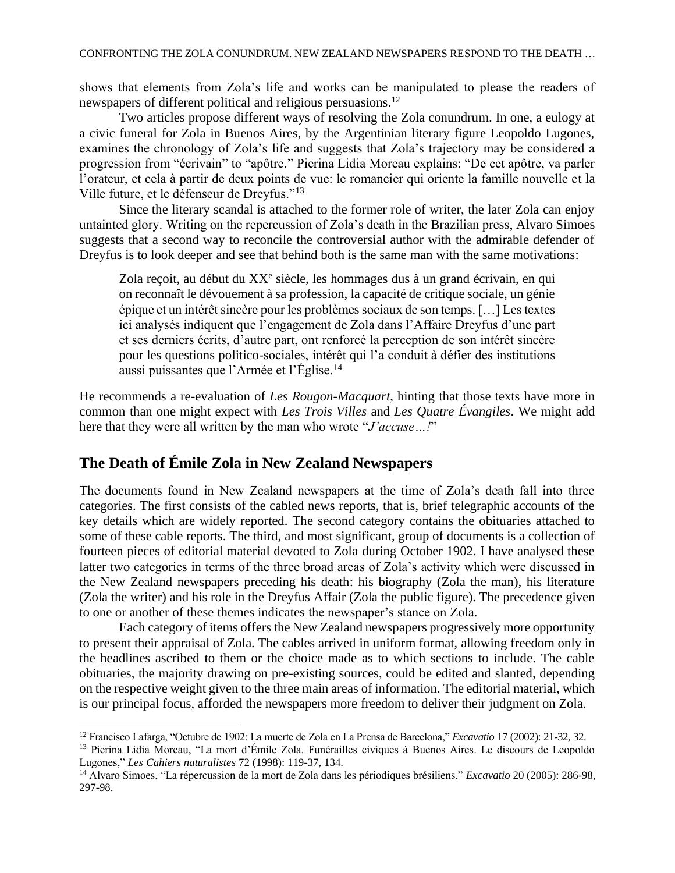shows that elements from Zola's life and works can be manipulated to please the readers of newspapers of different political and religious persuasions.<sup>12</sup>

Two articles propose different ways of resolving the Zola conundrum. In one, a eulogy at a civic funeral for Zola in Buenos Aires, by the Argentinian literary figure Leopoldo Lugones, examines the chronology of Zola's life and suggests that Zola's trajectory may be considered a progression from "écrivain" to "apôtre." Pierina Lidia Moreau explains: "De cet apôtre, va parler l'orateur, et cela à partir de deux points de vue: le romancier qui oriente la famille nouvelle et la Ville future, et le défenseur de Dreyfus."<sup>13</sup>

Since the literary scandal is attached to the former role of writer, the later Zola can enjoy untainted glory. Writing on the repercussion of Zola's death in the Brazilian press, Alvaro Simoes suggests that a second way to reconcile the controversial author with the admirable defender of Dreyfus is to look deeper and see that behind both is the same man with the same motivations:

Zola reçoit, au début du XX<sup>e</sup> siècle, les hommages dus à un grand écrivain, en qui on reconnaît le dévouement à sa profession, la capacité de critique sociale, un génie épique et un intérêt sincère pour les problèmes sociaux de son temps. […] Les textes ici analysés indiquent que l'engagement de Zola dans l'Affaire Dreyfus d'une part et ses derniers écrits, d'autre part, ont renforcé la perception de son intérêt sincère pour les questions politico-sociales, intérêt qui l'a conduit à défier des institutions aussi puissantes que l'Armée et l'Église.<sup>14</sup>

He recommends a re-evaluation of *Les Rougon-Macquart*, hinting that those texts have more in common than one might expect with *Les Trois Villes* and *Les Quatre Évangiles*. We might add here that they were all written by the man who wrote "*J'accuse…!*"

## **The Death of Émile Zola in New Zealand Newspapers**

The documents found in New Zealand newspapers at the time of Zola's death fall into three categories. The first consists of the cabled news reports, that is, brief telegraphic accounts of the key details which are widely reported. The second category contains the obituaries attached to some of these cable reports. The third, and most significant, group of documents is a collection of fourteen pieces of editorial material devoted to Zola during October 1902. I have analysed these latter two categories in terms of the three broad areas of Zola's activity which were discussed in the New Zealand newspapers preceding his death: his biography (Zola the man), his literature (Zola the writer) and his role in the Dreyfus Affair (Zola the public figure). The precedence given to one or another of these themes indicates the newspaper's stance on Zola.

Each category of items offers the New Zealand newspapers progressively more opportunity to present their appraisal of Zola. The cables arrived in uniform format, allowing freedom only in the headlines ascribed to them or the choice made as to which sections to include. The cable obituaries, the majority drawing on pre-existing sources, could be edited and slanted, depending on the respective weight given to the three main areas of information. The editorial material, which is our principal focus, afforded the newspapers more freedom to deliver their judgment on Zola.

<sup>12</sup> Francisco Lafarga, "Octubre de 1902: La muerte de Zola en La Prensa de Barcelona," *Excavatio* 17 (2002): 21-32, 32.

<sup>&</sup>lt;sup>13</sup> Pierina Lidia Moreau, "La mort d'Émile Zola. Funérailles civiques à Buenos Aires. Le discours de Leopoldo Lugones," *Les Cahiers naturalistes* 72 (1998): 119-37, 134.

<sup>14</sup> Alvaro Simoes, "La répercussion de la mort de Zola dans les périodiques brésiliens," *Excavatio* 20 (2005): 286-98, 297-98.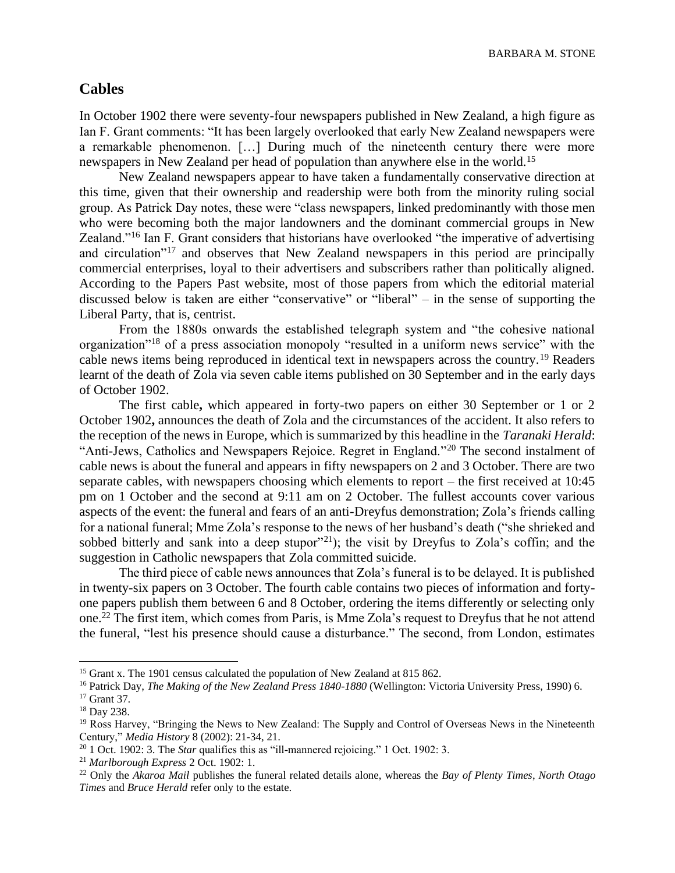BARBARA M. STONE

#### **Cables**

In October 1902 there were seventy-four newspapers published in New Zealand, a high figure as Ian F. Grant comments: "It has been largely overlooked that early New Zealand newspapers were a remarkable phenomenon. […] During much of the nineteenth century there were more newspapers in New Zealand per head of population than anywhere else in the world.<sup>15</sup>

New Zealand newspapers appear to have taken a fundamentally conservative direction at this time, given that their ownership and readership were both from the minority ruling social group. As Patrick Day notes, these were "class newspapers, linked predominantly with those men who were becoming both the major landowners and the dominant commercial groups in New Zealand."<sup>16</sup> Ian F. Grant considers that historians have overlooked "the imperative of advertising and circulation<sup>"17</sup> and observes that New Zealand newspapers in this period are principally commercial enterprises, loyal to their advertisers and subscribers rather than politically aligned. According to the Papers Past website, most of those papers from which the editorial material discussed below is taken are either "conservative" or "liberal" – in the sense of supporting the Liberal Party, that is, centrist.

From the 1880s onwards the established telegraph system and "the cohesive national organization"<sup>18</sup> of a press association monopoly "resulted in a uniform news service" with the cable news items being reproduced in identical text in newspapers across the country.<sup>19</sup> Readers learnt of the death of Zola via seven cable items published on 30 September and in the early days of October 1902.

The first cable**,** which appeared in forty-two papers on either 30 September or 1 or 2 October 1902**,** announces the death of Zola and the circumstances of the accident. It also refers to the reception of the news in Europe, which is summarized by this headline in the *Taranaki Herald*: "Anti-Jews, Catholics and Newspapers Rejoice. Regret in England."<sup>20</sup> The second instalment of cable news is about the funeral and appears in fifty newspapers on 2 and 3 October. There are two separate cables, with newspapers choosing which elements to report – the first received at 10:45 pm on 1 October and the second at 9:11 am on 2 October. The fullest accounts cover various aspects of the event: the funeral and fears of an anti-Dreyfus demonstration; Zola's friends calling for a national funeral; Mme Zola's response to the news of her husband's death ("she shrieked and sobbed bitterly and sank into a deep stupor"<sup>21</sup>); the visit by Dreyfus to Zola's coffin; and the suggestion in Catholic newspapers that Zola committed suicide.

The third piece of cable news announces that Zola's funeral is to be delayed. It is published in twenty-six papers on 3 October. The fourth cable contains two pieces of information and fortyone papers publish them between 6 and 8 October, ordering the items differently or selecting only one.<sup>22</sup> The first item, which comes from Paris, is Mme Zola's request to Dreyfus that he not attend the funeral, "lest his presence should cause a disturbance." The second, from London, estimates

<sup>&</sup>lt;sup>15</sup> Grant x. The 1901 census calculated the population of New Zealand at 815 862.

<sup>16</sup> Patrick Day, *The Making of the New Zealand Press 1840-1880* (Wellington: Victoria University Press, 1990) 6.

<sup>&</sup>lt;sup>17</sup> Grant 37.

<sup>18</sup> Day 238.

<sup>&</sup>lt;sup>19</sup> Ross Harvey, "Bringing the News to New Zealand: The Supply and Control of Overseas News in the Nineteenth Century," *Media History* 8 (2002): 21-34, 21.

<sup>&</sup>lt;sup>20</sup> 1 Oct. 1902: 3. The *Star* qualifies this as "ill-mannered rejoicing." 1 Oct. 1902: 3.

<sup>21</sup> *Marlborough Express* 2 Oct. 1902: 1.

<sup>22</sup> Only the *Akaroa Mail* publishes the funeral related details alone, whereas the *Bay of Plenty Times*, *North Otago Times* and *Bruce Herald* refer only to the estate.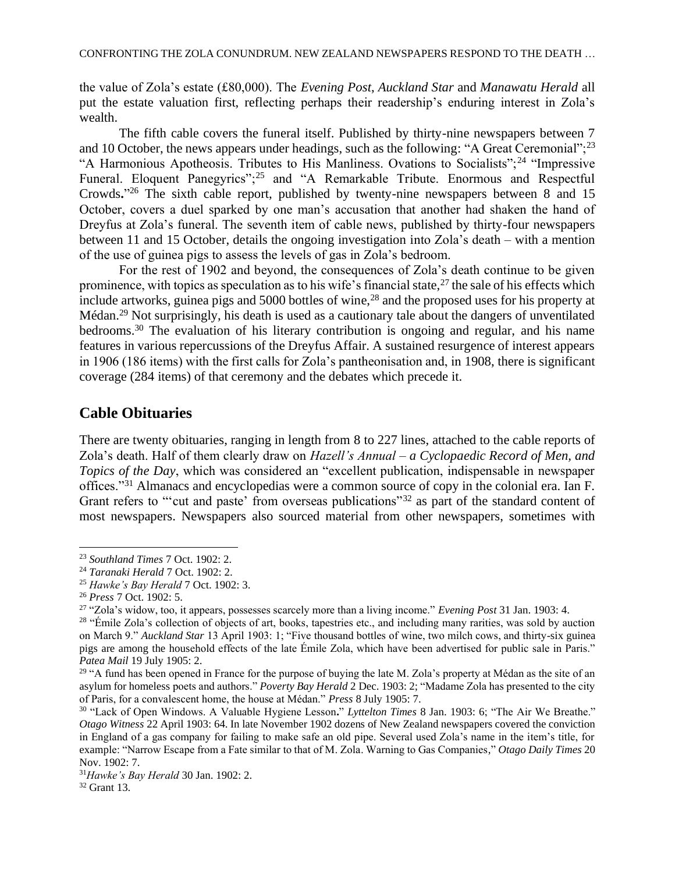the value of Zola's estate (£80,000). The *Evening Post*, *Auckland Star* and *Manawatu Herald* all put the estate valuation first, reflecting perhaps their readership's enduring interest in Zola's wealth.

The fifth cable covers the funeral itself. Published by thirty-nine newspapers between 7 and 10 October, the news appears under headings, such as the following: "A Great Ceremonial";<sup>23</sup> "A Harmonious Apotheosis. Tributes to His Manliness. Ovations to Socialists";<sup>24</sup> "Impressive Funeral. Eloquent Panegyrics";<sup>25</sup> and "A Remarkable Tribute. Enormous and Respectful Crowds**.**" <sup>26</sup> The sixth cable report, published by twenty-nine newspapers between 8 and 15 October, covers a duel sparked by one man's accusation that another had shaken the hand of Dreyfus at Zola's funeral. The seventh item of cable news, published by thirty-four newspapers between 11 and 15 October, details the ongoing investigation into Zola's death – with a mention of the use of guinea pigs to assess the levels of gas in Zola's bedroom.

For the rest of 1902 and beyond, the consequences of Zola's death continue to be given prominence, with topics as speculation as to his wife's financial state,  $27$  the sale of his effects which include artworks, guinea pigs and 5000 bottles of wine,  $^{28}$  and the proposed uses for his property at Médan.<sup>29</sup> Not surprisingly, his death is used as a cautionary tale about the dangers of unventilated bedrooms.<sup>30</sup> The evaluation of his literary contribution is ongoing and regular, and his name features in various repercussions of the Dreyfus Affair. A sustained resurgence of interest appears in 1906 (186 items) with the first calls for Zola's pantheonisation and, in 1908, there is significant coverage (284 items) of that ceremony and the debates which precede it.

### **Cable Obituaries**

There are twenty obituaries, ranging in length from 8 to 227 lines, attached to the cable reports of Zola's death. Half of them clearly draw on *Hazell's Annual – a Cyclopaedic Record of Men, and Topics of the Day*, which was considered an "excellent publication, indispensable in newspaper offices."<sup>31</sup> Almanacs and encyclopedias were a common source of copy in the colonial era. Ian F. Grant refers to "'cut and paste' from overseas publications"<sup>32</sup> as part of the standard content of most newspapers. Newspapers also sourced material from other newspapers, sometimes with

<sup>23</sup> *Southland Times* 7 Oct. 1902: 2.

<sup>24</sup> *Taranaki Herald* 7 Oct. 1902: 2.

<sup>25</sup> *Hawke's Bay Herald* 7 Oct. 1902: 3.

<sup>26</sup> *Press* 7 Oct. 1902: 5.

<sup>27</sup> "Zola's widow, too, it appears, possesses scarcely more than a living income." *Evening Post* 31 Jan. 1903: 4.

<sup>&</sup>lt;sup>28</sup> "Émile Zola's collection of objects of art, books, tapestries etc., and including many rarities, was sold by auction on March 9." *Auckland Star* 13 April 1903: 1; "Five thousand bottles of wine, two milch cows, and thirty-six guinea pigs are among the household effects of the late Émile Zola, which have been advertised for public sale in Paris." *Patea Mail* 19 July 1905: 2.

<sup>&</sup>lt;sup>29</sup> "A fund has been opened in France for the purpose of buying the late M. Zola's property at Médan as the site of an asylum for homeless poets and authors." *Poverty Bay Herald* 2 Dec. 1903: 2; "Madame Zola has presented to the city of Paris, for a convalescent home, the house at Médan." *Press* 8 July 1905: 7.

<sup>30</sup> "Lack of Open Windows. A Valuable Hygiene Lesson**.**" *Lyttelton Times* 8 Jan. 1903: 6; "The Air We Breathe." *Otago Witness* 22 April 1903: 64. In late November 1902 dozens of New Zealand newspapers covered the conviction in England of a gas company for failing to make safe an old pipe. Several used Zola's name in the item's title, for example: "Narrow Escape from a Fate similar to that of M. Zola. Warning to Gas Companies," *Otago Daily Times* 20 Nov. 1902: 7.

<sup>31</sup>*Hawke's Bay Herald* 30 Jan. 1902: 2.

<sup>32</sup> Grant 13.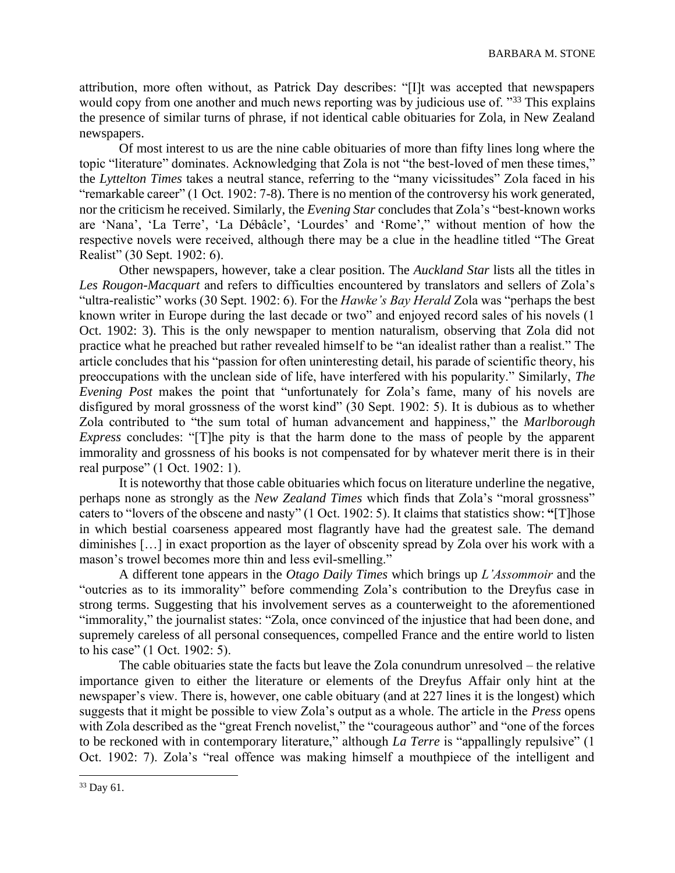attribution, more often without, as Patrick Day describes: "[I]t was accepted that newspapers would copy from one another and much news reporting was by judicious use of. "33 This explains" the presence of similar turns of phrase, if not identical cable obituaries for Zola, in New Zealand newspapers.

Of most interest to us are the nine cable obituaries of more than fifty lines long where the topic "literature" dominates. Acknowledging that Zola is not "the best-loved of men these times," the *Lyttelton Times* takes a neutral stance, referring to the "many vicissitudes" Zola faced in his "remarkable career" (1 Oct. 1902: 7-8). There is no mention of the controversy his work generated, nor the criticism he received. Similarly, the *Evening Star* concludes that Zola's "best-known works are 'Nana', 'La Terre', 'La Débâcle', 'Lourdes' and 'Rome'," without mention of how the respective novels were received, although there may be a clue in the headline titled "The Great Realist" (30 Sept. 1902: 6).

Other newspapers, however, take a clear position. The *Auckland Star* lists all the titles in *Les Rougon-Macquart* and refers to difficulties encountered by translators and sellers of Zola's "ultra-realistic" works (30 Sept. 1902: 6). For the *Hawke's Bay Herald* Zola was "perhaps the best known writer in Europe during the last decade or two" and enjoyed record sales of his novels (1 Oct. 1902: 3). This is the only newspaper to mention naturalism, observing that Zola did not practice what he preached but rather revealed himself to be "an idealist rather than a realist." The article concludes that his "passion for often uninteresting detail, his parade of scientific theory, his preoccupations with the unclean side of life, have interfered with his popularity." Similarly, *The Evening Post* makes the point that "unfortunately for Zola's fame, many of his novels are disfigured by moral grossness of the worst kind" (30 Sept. 1902: 5). It is dubious as to whether Zola contributed to "the sum total of human advancement and happiness," the *Marlborough Express* concludes: "[T]he pity is that the harm done to the mass of people by the apparent immorality and grossness of his books is not compensated for by whatever merit there is in their real purpose" (1 Oct. 1902: 1).

It is noteworthy that those cable obituaries which focus on literature underline the negative, perhaps none as strongly as the *New Zealand Times* which finds that Zola's "moral grossness" caters to "lovers of the obscene and nasty" (1 Oct. 1902: 5). It claims that statistics show: **"**[T]hose in which bestial coarseness appeared most flagrantly have had the greatest sale. The demand diminishes […] in exact proportion as the layer of obscenity spread by Zola over his work with a mason's trowel becomes more thin and less evil-smelling."

A different tone appears in the *Otago Daily Times* which brings up *L'Assommoir* and the "outcries as to its immorality" before commending Zola's contribution to the Dreyfus case in strong terms. Suggesting that his involvement serves as a counterweight to the aforementioned "immorality," the journalist states: "Zola, once convinced of the injustice that had been done, and supremely careless of all personal consequences, compelled France and the entire world to listen to his case" (1 Oct. 1902: 5).

The cable obituaries state the facts but leave the Zola conundrum unresolved – the relative importance given to either the literature or elements of the Dreyfus Affair only hint at the newspaper's view. There is, however, one cable obituary (and at 227 lines it is the longest) which suggests that it might be possible to view Zola's output as a whole. The article in the *Press* opens with Zola described as the "great French novelist," the "courageous author" and "one of the forces to be reckoned with in contemporary literature," although *La Terre* is "appallingly repulsive" (1 Oct. 1902: 7). Zola's "real offence was making himself a mouthpiece of the intelligent and

<sup>33</sup> Day 61.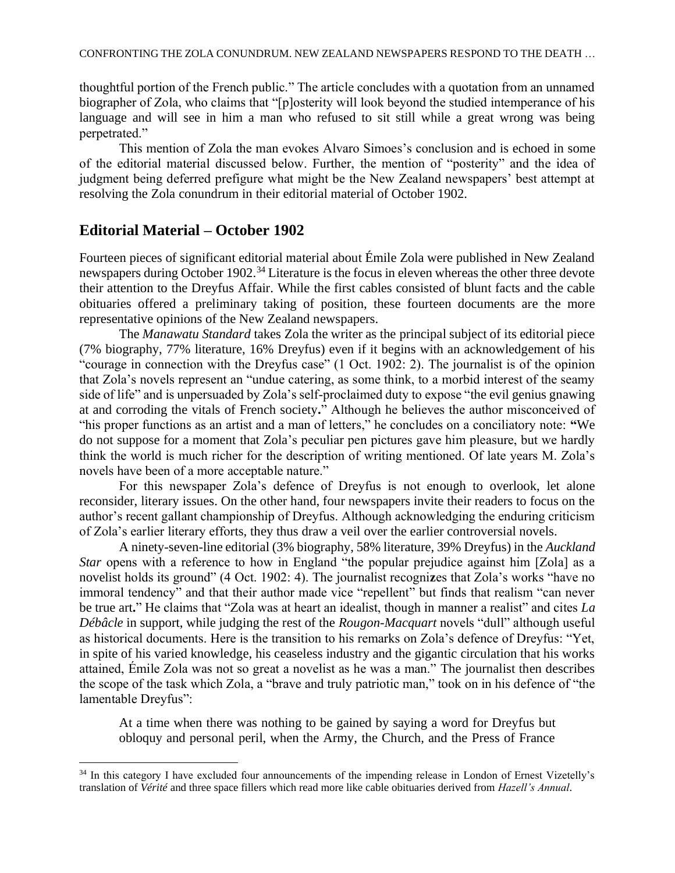thoughtful portion of the French public." The article concludes with a quotation from an unnamed biographer of Zola, who claims that "[p]osterity will look beyond the studied intemperance of his language and will see in him a man who refused to sit still while a great wrong was being perpetrated."

This mention of Zola the man evokes Alvaro Simoes's conclusion and is echoed in some of the editorial material discussed below. Further, the mention of "posterity" and the idea of judgment being deferred prefigure what might be the New Zealand newspapers' best attempt at resolving the Zola conundrum in their editorial material of October 1902.

### **Editorial Material – October 1902**

Fourteen pieces of significant editorial material about Émile Zola were published in New Zealand newspapers during October 1902.<sup>34</sup> Literature is the focus in eleven whereas the other three devote their attention to the Dreyfus Affair. While the first cables consisted of blunt facts and the cable obituaries offered a preliminary taking of position, these fourteen documents are the more representative opinions of the New Zealand newspapers.

The *Manawatu Standard* takes Zola the writer as the principal subject of its editorial piece (7% biography, 77% literature, 16% Dreyfus) even if it begins with an acknowledgement of his "courage in connection with the Dreyfus case" (1 Oct. 1902: 2). The journalist is of the opinion that Zola's novels represent an "undue catering, as some think, to a morbid interest of the seamy side of life" and is unpersuaded by Zola's self-proclaimed duty to expose "the evil genius gnawing at and corroding the vitals of French society**.**" Although he believes the author misconceived of "his proper functions as an artist and a man of letters," he concludes on a conciliatory note: **"**We do not suppose for a moment that Zola's peculiar pen pictures gave him pleasure, but we hardly think the world is much richer for the description of writing mentioned. Of late years M. Zola's novels have been of a more acceptable nature."

For this newspaper Zola's defence of Dreyfus is not enough to overlook, let alone reconsider, literary issues. On the other hand, four newspapers invite their readers to focus on the author's recent gallant championship of Dreyfus. Although acknowledging the enduring criticism of Zola's earlier literary efforts, they thus draw a veil over the earlier controversial novels.

A ninety-seven-line editorial (3% biography, 58% literature, 39% Dreyfus) in the *Auckland Star* opens with a reference to how in England "the popular prejudice against him [Zola] as a novelist holds its ground" (4 Oct. 1902: 4). The journalist recogni**z**es that Zola's works "have no immoral tendency" and that their author made vice "repellent" but finds that realism "can never be true art**.**" He claims that "Zola was at heart an idealist, though in manner a realist" and cites *La Débâcle* in support, while judging the rest of the *Rougon-Macquart* novels "dull" although useful as historical documents. Here is the transition to his remarks on Zola's defence of Dreyfus: "Yet, in spite of his varied knowledge, his ceaseless industry and the gigantic circulation that his works attained, Émile Zola was not so great a novelist as he was a man." The journalist then describes the scope of the task which Zola, a "brave and truly patriotic man," took on in his defence of "the lamentable Dreyfus":

At a time when there was nothing to be gained by saying a word for Dreyfus but obloquy and personal peril, when the Army, the Church, and the Press of France

<sup>&</sup>lt;sup>34</sup> In this category I have excluded four announcements of the impending release in London of Ernest Vizetelly's translation of *Vérité* and three space fillers which read more like cable obituaries derived from *Hazell's Annual*.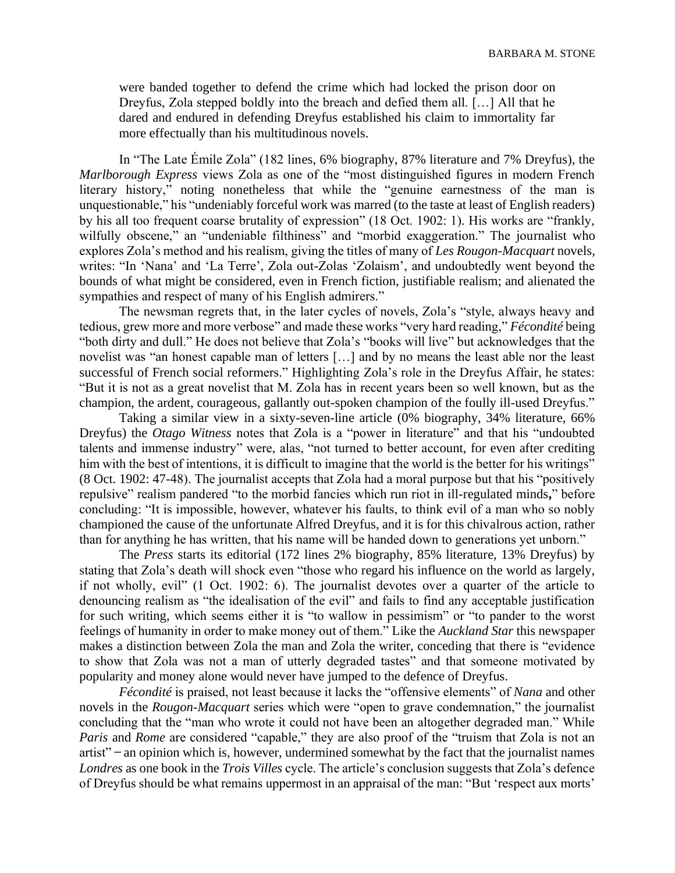were banded together to defend the crime which had locked the prison door on Dreyfus, Zola stepped boldly into the breach and defied them all. […] All that he dared and endured in defending Dreyfus established his claim to immortality far more effectually than his multitudinous novels.

In "The Late Émile Zola" (182 lines, 6% biography, 87% literature and 7% Dreyfus), the *Marlborough Express* views Zola as one of the "most distinguished figures in modern French literary history," noting nonetheless that while the "genuine earnestness of the man is unquestionable," his "undeniably forceful work was marred (to the taste at least of English readers) by his all too frequent coarse brutality of expression" (18 Oct. 1902: 1). His works are "frankly, wilfully obscene," an "undeniable filthiness" and "morbid exaggeration." The journalist who explores Zola's method and his realism, giving the titles of many of *Les Rougon-Macquart* novels, writes: "In 'Nana' and 'La Terre', Zola out-Zolas 'Zolaism', and undoubtedly went beyond the bounds of what might be considered, even in French fiction, justifiable realism; and alienated the sympathies and respect of many of his English admirers."

The newsman regrets that, in the later cycles of novels, Zola's "style, always heavy and tedious, grew more and more verbose" and made these works "very hard reading," *Fécondité* being "both dirty and dull." He does not believe that Zola's "books will live" but acknowledges that the novelist was "an honest capable man of letters […] and by no means the least able nor the least successful of French social reformers." Highlighting Zola's role in the Dreyfus Affair, he states: "But it is not as a great novelist that M. Zola has in recent years been so well known, but as the champion, the ardent, courageous, gallantly out-spoken champion of the foully ill-used Dreyfus."

Taking a similar view in a sixty-seven-line article (0% biography, 34% literature, 66% Dreyfus) the *Otago Witness* notes that Zola is a "power in literature" and that his "undoubted talents and immense industry" were, alas, "not turned to better account, for even after crediting him with the best of intentions, it is difficult to imagine that the world is the better for his writings" (8 Oct. 1902: 47-48). The journalist accepts that Zola had a moral purpose but that his "positively repulsive" realism pandered "to the morbid fancies which run riot in ill-regulated minds**,**" before concluding: "It is impossible, however, whatever his faults, to think evil of a man who so nobly championed the cause of the unfortunate Alfred Dreyfus, and it is for this chivalrous action, rather than for anything he has written, that his name will be handed down to generations yet unborn."

The *Press* starts its editorial (172 lines 2% biography, 85% literature, 13% Dreyfus) by stating that Zola's death will shock even "those who regard his influence on the world as largely, if not wholly, evil" (1 Oct. 1902: 6). The journalist devotes over a quarter of the article to denouncing realism as "the idealisation of the evil" and fails to find any acceptable justification for such writing, which seems either it is "to wallow in pessimism" or "to pander to the worst feelings of humanity in order to make money out of them." Like the *Auckland Star* this newspaper makes a distinction between Zola the man and Zola the writer, conceding that there is "evidence to show that Zola was not a man of utterly degraded tastes" and that someone motivated by popularity and money alone would never have jumped to the defence of Dreyfus.

*Fécondité* is praised, not least because it lacks the "offensive elements" of *Nana* and other novels in the *Rougon-Macquart* series which were "open to grave condemnation," the journalist concluding that the "man who wrote it could not have been an altogether degraded man." While *Paris* and *Rome* are considered "capable," they are also proof of the "truism that Zola is not an  $artist"$  – an opinion which is, however, undermined somewhat by the fact that the journalist names *Londres* as one book in the *Trois Villes* cycle. The article's conclusion suggests that Zola's defence of Dreyfus should be what remains uppermost in an appraisal of the man: "But 'respect aux morts'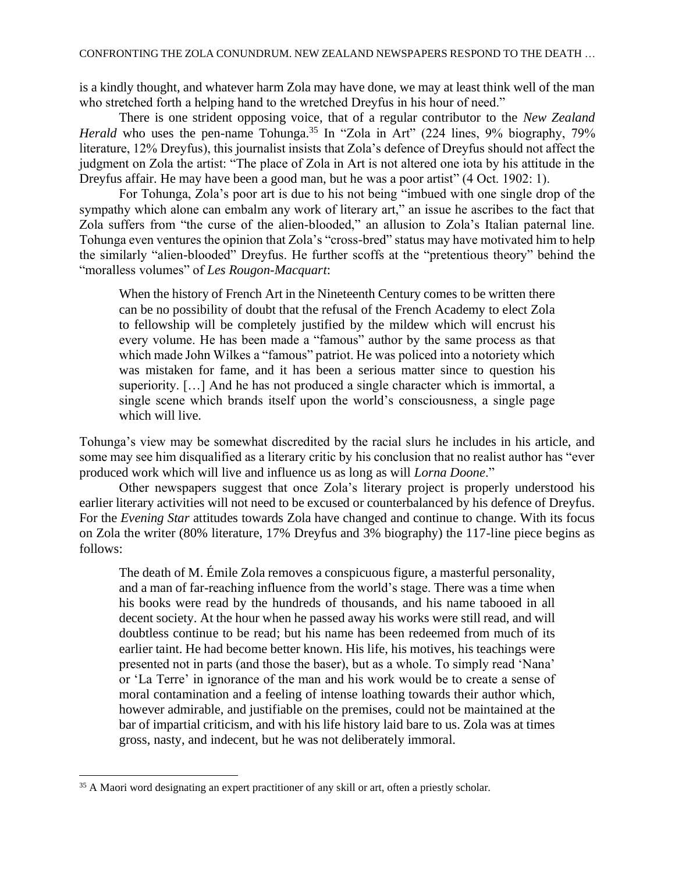is a kindly thought, and whatever harm Zola may have done, we may at least think well of the man who stretched forth a helping hand to the wretched Dreyfus in his hour of need."

There is one strident opposing voice, that of a regular contributor to the *New Zealand Herald* who uses the pen-name Tohunga.<sup>35</sup> In "Zola in Art" (224 lines, 9% biography, 79% literature, 12% Dreyfus), this journalist insists that Zola's defence of Dreyfus should not affect the judgment on Zola the artist: "The place of Zola in Art is not altered one iota by his attitude in the Dreyfus affair. He may have been a good man, but he was a poor artist" (4 Oct. 1902: 1).

For Tohunga, Zola's poor art is due to his not being "imbued with one single drop of the sympathy which alone can embalm any work of literary art," an issue he ascribes to the fact that Zola suffers from "the curse of the alien-blooded," an allusion to Zola's Italian paternal line. Tohunga even ventures the opinion that Zola's "cross-bred" status may have motivated him to help the similarly "alien-blooded" Dreyfus. He further scoffs at the "pretentious theory" behind the "moralless volumes" of *Les Rougon-Macquart*:

When the history of French Art in the Nineteenth Century comes to be written there can be no possibility of doubt that the refusal of the French Academy to elect Zola to fellowship will be completely justified by the mildew which will encrust his every volume. He has been made a "famous" author by the same process as that which made John Wilkes a "famous" patriot. He was policed into a notoriety which was mistaken for fame, and it has been a serious matter since to question his superiority. […] And he has not produced a single character which is immortal, a single scene which brands itself upon the world's consciousness, a single page which will live.

Tohunga's view may be somewhat discredited by the racial slurs he includes in his article, and some may see him disqualified as a literary critic by his conclusion that no realist author has "ever produced work which will live and influence us as long as will *Lorna Doone*."

Other newspapers suggest that once Zola's literary project is properly understood his earlier literary activities will not need to be excused or counterbalanced by his defence of Dreyfus. For the *Evening Star* attitudes towards Zola have changed and continue to change. With its focus on Zola the writer (80% literature, 17% Dreyfus and 3% biography) the 117-line piece begins as follows:

The death of M. Émile Zola removes a conspicuous figure, a masterful personality, and a man of far-reaching influence from the world's stage. There was a time when his books were read by the hundreds of thousands, and his name tabooed in all decent society. At the hour when he passed away his works were still read, and will doubtless continue to be read; but his name has been redeemed from much of its earlier taint. He had become better known. His life, his motives, his teachings were presented not in parts (and those the baser), but as a whole. To simply read 'Nana' or 'La Terre' in ignorance of the man and his work would be to create a sense of moral contamination and a feeling of intense loathing towards their author which, however admirable, and justifiable on the premises, could not be maintained at the bar of impartial criticism, and with his life history laid bare to us. Zola was at times gross, nasty, and indecent, but he was not deliberately immoral.

<sup>&</sup>lt;sup>35</sup> A Maori word designating an expert practitioner of any skill or art, often a priestly scholar.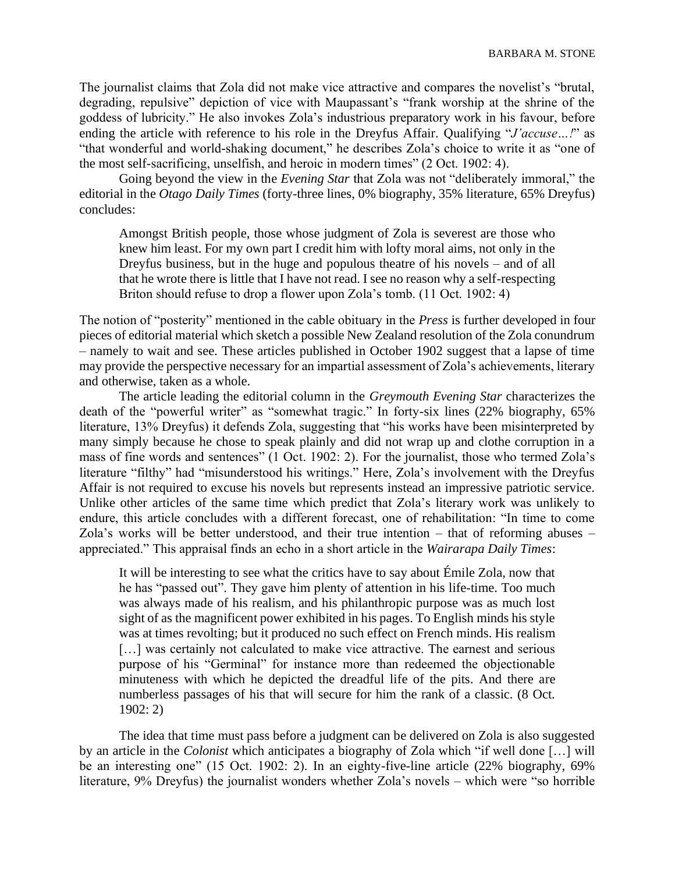The journalist claims that Zola did not make vice attractive and compares the novelist's "brutal, degrading, repulsive" depiction of vice with Maupassant's "frank worship at the shrine of the goddess of lubricity." He also invokes Zola's industrious preparatory work in his favour, before ending the article with reference to his role in the Dreyfus Affair. Qualifying "*J'accuse…!*" as "that wonderful and world-shaking document," he describes Zola's choice to write it as "one of the most self-sacrificing, unselfish, and heroic in modern times" (2 Oct. 1902: 4).

Going beyond the view in the *Evening Star* that Zola was not "deliberately immoral," the editorial in the *Otago Daily Times* (forty-three lines, 0% biography, 35% literature, 65% Dreyfus) concludes:

Amongst British people, those whose judgment of Zola is severest are those who knew him least. For my own part I credit him with lofty moral aims, not only in the Dreyfus business, but in the huge and populous theatre of his novels – and of all that he wrote there is little that I have not read. I see no reason why a self-respecting Briton should refuse to drop a flower upon Zola's tomb. (11 Oct. 1902: 4)

The notion of "posterity" mentioned in the cable obituary in the *Press* is further developed in four pieces of editorial material which sketch a possible New Zealand resolution of the Zola conundrum – namely to wait and see. These articles published in October 1902 suggest that a lapse of time may provide the perspective necessary for an impartial assessment of Zola's achievements, literary and otherwise, taken as a whole.

The article leading the editorial column in the *Greymouth Evening Star* characterizes the death of the "powerful writer" as "somewhat tragic." In forty-six lines (22% biography, 65% literature, 13% Dreyfus) it defends Zola, suggesting that "his works have been misinterpreted by many simply because he chose to speak plainly and did not wrap up and clothe corruption in a mass of fine words and sentences" (1 Oct. 1902: 2). For the journalist, those who termed Zola's literature "filthy" had "misunderstood his writings." Here, Zola's involvement with the Dreyfus Affair is not required to excuse his novels but represents instead an impressive patriotic service. Unlike other articles of the same time which predict that Zola's literary work was unlikely to endure, this article concludes with a different forecast, one of rehabilitation: "In time to come Zola's works will be better understood, and their true intention – that of reforming abuses – appreciated." This appraisal finds an echo in a short article in the *Wairarapa Daily Times*:

It will be interesting to see what the critics have to say about Émile Zola, now that he has "passed out". They gave him plenty of attention in his life-time. Too much was always made of his realism, and his philanthropic purpose was as much lost sight of as the magnificent power exhibited in his pages. To English minds his style was at times revolting; but it produced no such effect on French minds. His realism [...] was certainly not calculated to make vice attractive. The earnest and serious purpose of his "Germinal" for instance more than redeemed the objectionable minuteness with which he depicted the dreadful life of the pits. And there are numberless passages of his that will secure for him the rank of a classic. (8 Oct. 1902: 2)

The idea that time must pass before a judgment can be delivered on Zola is also suggested by an article in the *Colonist* which anticipates a biography of Zola which "if well done […] will be an interesting one" (15 Oct. 1902: 2). In an eighty-five-line article (22% biography, 69% literature, 9% Dreyfus) the journalist wonders whether Zola's novels – which were "so horrible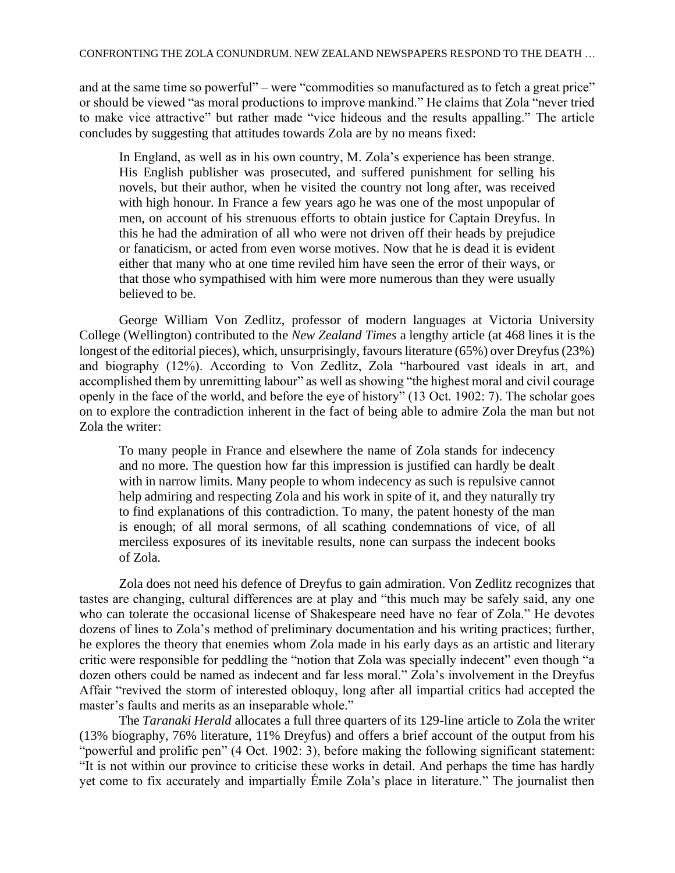and at the same time so powerful" – were "commodities so manufactured as to fetch a great price" or should be viewed "as moral productions to improve mankind." He claims that Zola "never tried to make vice attractive" but rather made "vice hideous and the results appalling." The article concludes by suggesting that attitudes towards Zola are by no means fixed:

In England, as well as in his own country, M. Zola's experience has been strange. His English publisher was prosecuted, and suffered punishment for selling his novels, but their author, when he visited the country not long after, was received with high honour. In France a few years ago he was one of the most unpopular of men, on account of his strenuous efforts to obtain justice for Captain Dreyfus. In this he had the admiration of all who were not driven off their heads by prejudice or fanaticism, or acted from even worse motives. Now that he is dead it is evident either that many who at one time reviled him have seen the error of their ways, or that those who sympathised with him were more numerous than they were usually believed to be.

George William Von Zedlitz, professor of modern languages at Victoria University College (Wellington) contributed to the *New Zealand Times* a lengthy article (at 468 lines it is the longest of the editorial pieces), which, unsurprisingly, favours literature (65%) over Dreyfus (23%) and biography (12%). According to Von Zedlitz, Zola "harboured vast ideals in art, and accomplished them by unremitting labour" as well as showing "the highest moral and civil courage openly in the face of the world, and before the eye of history" (13 Oct. 1902: 7). The scholar goes on to explore the contradiction inherent in the fact of being able to admire Zola the man but not Zola the writer:

To many people in France and elsewhere the name of Zola stands for indecency and no more. The question how far this impression is justified can hardly be dealt with in narrow limits. Many people to whom indecency as such is repulsive cannot help admiring and respecting Zola and his work in spite of it, and they naturally try to find explanations of this contradiction. To many, the patent honesty of the man is enough; of all moral sermons, of all scathing condemnations of vice, of all merciless exposures of its inevitable results, none can surpass the indecent books of Zola.

Zola does not need his defence of Dreyfus to gain admiration. Von Zedlitz recognizes that tastes are changing, cultural differences are at play and "this much may be safely said, any one who can tolerate the occasional license of Shakespeare need have no fear of Zola." He devotes dozens of lines to Zola's method of preliminary documentation and his writing practices; further, he explores the theory that enemies whom Zola made in his early days as an artistic and literary critic were responsible for peddling the "notion that Zola was specially indecent" even though "a dozen others could be named as indecent and far less moral." Zola's involvement in the Dreyfus Affair "revived the storm of interested obloquy, long after all impartial critics had accepted the master's faults and merits as an inseparable whole."

The *Taranaki Herald* allocates a full three quarters of its 129-line article to Zola the writer (13% biography, 76% literature, 11% Dreyfus) and offers a brief account of the output from his "powerful and prolific pen" (4 Oct. 1902: 3), before making the following significant statement: "It is not within our province to criticise these works in detail. And perhaps the time has hardly yet come to fix accurately and impartially Émile Zola's place in literature." The journalist then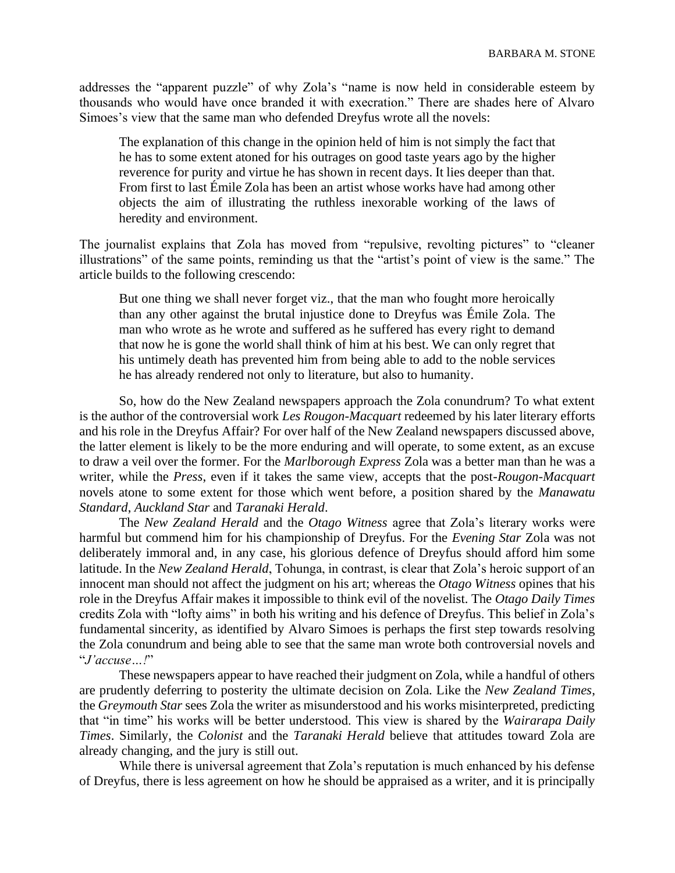addresses the "apparent puzzle" of why Zola's "name is now held in considerable esteem by thousands who would have once branded it with execration." There are shades here of Alvaro Simoes's view that the same man who defended Dreyfus wrote all the novels:

The explanation of this change in the opinion held of him is not simply the fact that he has to some extent atoned for his outrages on good taste years ago by the higher reverence for purity and virtue he has shown in recent days. It lies deeper than that. From first to last Émile Zola has been an artist whose works have had among other objects the aim of illustrating the ruthless inexorable working of the laws of heredity and environment.

The journalist explains that Zola has moved from "repulsive, revolting pictures" to "cleaner illustrations" of the same points, reminding us that the "artist's point of view is the same." The article builds to the following crescendo:

But one thing we shall never forget viz., that the man who fought more heroically than any other against the brutal injustice done to Dreyfus was Émile Zola. The man who wrote as he wrote and suffered as he suffered has every right to demand that now he is gone the world shall think of him at his best. We can only regret that his untimely death has prevented him from being able to add to the noble services he has already rendered not only to literature, but also to humanity.

So, how do the New Zealand newspapers approach the Zola conundrum? To what extent is the author of the controversial work *Les Rougon-Macquart* redeemed by his later literary efforts and his role in the Dreyfus Affair? For over half of the New Zealand newspapers discussed above, the latter element is likely to be the more enduring and will operate, to some extent, as an excuse to draw a veil over the former. For the *Marlborough Express* Zola was a better man than he was a writer, while the *Press*, even if it takes the same view, accepts that the post-*Rougon-Macquart* novels atone to some extent for those which went before, a position shared by the *Manawatu Standard*, *Auckland Star* and *Taranaki Herald*.

The *New Zealand Herald* and the *Otago Witness* agree that Zola's literary works were harmful but commend him for his championship of Dreyfus. For the *Evening Star* Zola was not deliberately immoral and, in any case, his glorious defence of Dreyfus should afford him some latitude. In the *New Zealand Herald*, Tohunga, in contrast, is clear that Zola's heroic support of an innocent man should not affect the judgment on his art; whereas the *Otago Witness* opines that his role in the Dreyfus Affair makes it impossible to think evil of the novelist. The *Otago Daily Times* credits Zola with "lofty aims" in both his writing and his defence of Dreyfus. This belief in Zola's fundamental sincerity, as identified by Alvaro Simoes is perhaps the first step towards resolving the Zola conundrum and being able to see that the same man wrote both controversial novels and "*J'accuse…!*"

These newspapers appear to have reached their judgment on Zola, while a handful of others are prudently deferring to posterity the ultimate decision on Zola. Like the *New Zealand Times*, the *Greymouth Star* sees Zola the writer as misunderstood and his works misinterpreted, predicting that "in time" his works will be better understood. This view is shared by the *Wairarapa Daily Times*. Similarly, the *Colonist* and the *Taranaki Herald* believe that attitudes toward Zola are already changing, and the jury is still out.

While there is universal agreement that Zola's reputation is much enhanced by his defense of Dreyfus, there is less agreement on how he should be appraised as a writer, and it is principally